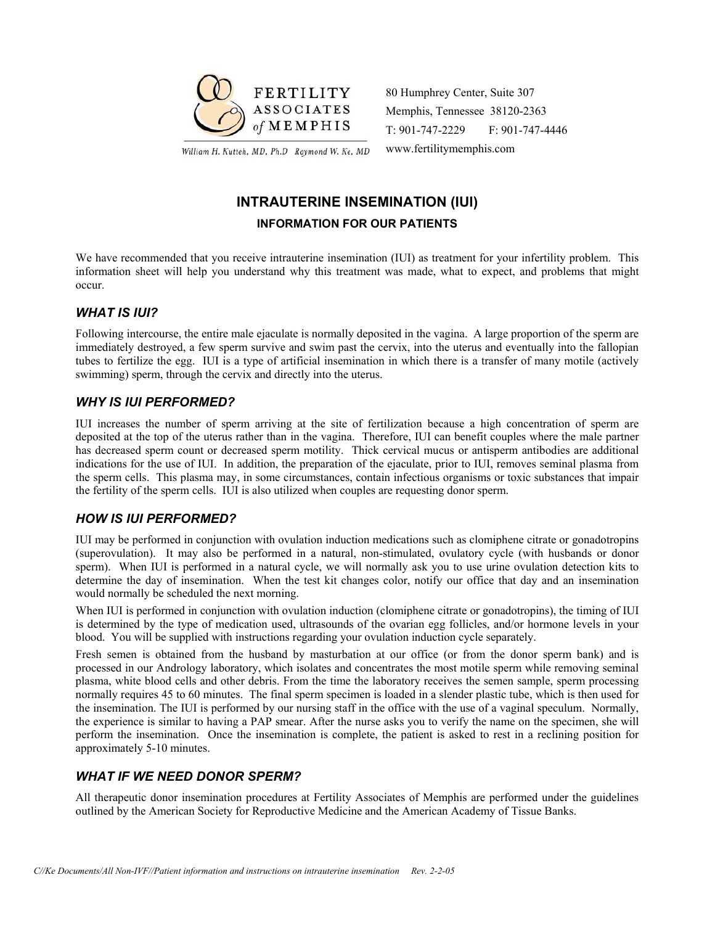

William H. Kutteh, MD, Ph.D Raymond W. Ke, MD

80 Humphrey Center, Suite 307 Memphis, Tennessee 38120-2363 T: 901-747-2229 F: 901-747-4446 www.fertilitymemphis.com

## **INTRAUTERINE INSEMINATION (IUI) INFORMATION FOR OUR PATIENTS**

We have recommended that you receive intrauterine insemination (IUI) as treatment for your infertility problem. This information sheet will help you understand why this treatment was made, what to expect, and problems that might occur.

#### *WHAT IS IUI?*

Following intercourse, the entire male ejaculate is normally deposited in the vagina. A large proportion of the sperm are immediately destroyed, a few sperm survive and swim past the cervix, into the uterus and eventually into the fallopian tubes to fertilize the egg. IUI is a type of artificial insemination in which there is a transfer of many motile (actively swimming) sperm, through the cervix and directly into the uterus.

#### *WHY IS IUI PERFORMED?*

IUI increases the number of sperm arriving at the site of fertilization because a high concentration of sperm are deposited at the top of the uterus rather than in the vagina. Therefore, IUI can benefit couples where the male partner has decreased sperm count or decreased sperm motility. Thick cervical mucus or antisperm antibodies are additional indications for the use of IUI. In addition, the preparation of the ejaculate, prior to IUI, removes seminal plasma from the sperm cells. This plasma may, in some circumstances, contain infectious organisms or toxic substances that impair the fertility of the sperm cells. IUI is also utilized when couples are requesting donor sperm.

#### *HOW IS IUI PERFORMED?*

IUI may be performed in conjunction with ovulation induction medications such as clomiphene citrate or gonadotropins (superovulation). It may also be performed in a natural, non-stimulated, ovulatory cycle (with husbands or donor sperm). When IUI is performed in a natural cycle, we will normally ask you to use urine ovulation detection kits to determine the day of insemination. When the test kit changes color, notify our office that day and an insemination would normally be scheduled the next morning.

When IUI is performed in conjunction with ovulation induction (clomiphene citrate or gonadotropins), the timing of IUI is determined by the type of medication used, ultrasounds of the ovarian egg follicles, and/or hormone levels in your blood. You will be supplied with instructions regarding your ovulation induction cycle separately.

Fresh semen is obtained from the husband by masturbation at our office (or from the donor sperm bank) and is processed in our Andrology laboratory, which isolates and concentrates the most motile sperm while removing seminal plasma, white blood cells and other debris. From the time the laboratory receives the semen sample, sperm processing normally requires 45 to 60 minutes. The final sperm specimen is loaded in a slender plastic tube, which is then used for the insemination. The IUI is performed by our nursing staff in the office with the use of a vaginal speculum. Normally, the experience is similar to having a PAP smear. After the nurse asks you to verify the name on the specimen, she will perform the insemination. Once the insemination is complete, the patient is asked to rest in a reclining position for approximately 5-10 minutes.

## *WHAT IF WE NEED DONOR SPERM?*

All therapeutic donor insemination procedures at Fertility Associates of Memphis are performed under the guidelines outlined by the American Society for Reproductive Medicine and the American Academy of Tissue Banks.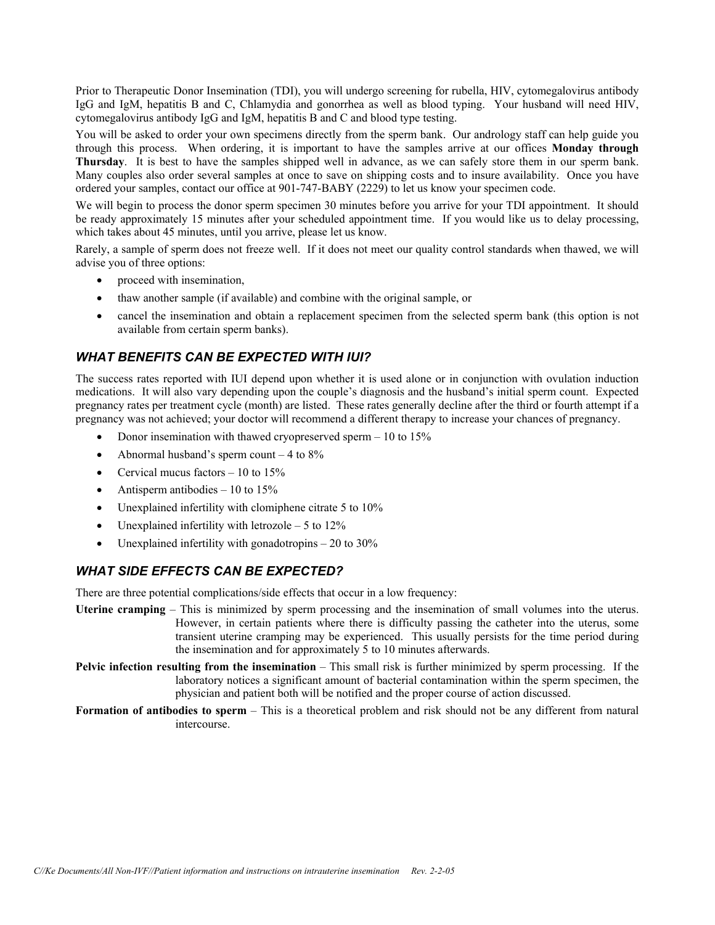Prior to Therapeutic Donor Insemination (TDI), you will undergo screening for rubella, HIV, cytomegalovirus antibody IgG and IgM, hepatitis B and C, Chlamydia and gonorrhea as well as blood typing. Your husband will need HIV, cytomegalovirus antibody IgG and IgM, hepatitis B and C and blood type testing.

You will be asked to order your own specimens directly from the sperm bank. Our andrology staff can help guide you through this process. When ordering, it is important to have the samples arrive at our offices **Monday through Thursday**. It is best to have the samples shipped well in advance, as we can safely store them in our sperm bank. Many couples also order several samples at once to save on shipping costs and to insure availability. Once you have ordered your samples, contact our office at 901-747-BABY (2229) to let us know your specimen code.

We will begin to process the donor sperm specimen 30 minutes before you arrive for your TDI appointment. It should be ready approximately 15 minutes after your scheduled appointment time. If you would like us to delay processing, which takes about 45 minutes, until you arrive, please let us know.

Rarely, a sample of sperm does not freeze well. If it does not meet our quality control standards when thawed, we will advise you of three options:

- proceed with insemination,
- thaw another sample (if available) and combine with the original sample, or
- cancel the insemination and obtain a replacement specimen from the selected sperm bank (this option is not available from certain sperm banks).

#### *WHAT BENEFITS CAN BE EXPECTED WITH IUI?*

The success rates reported with IUI depend upon whether it is used alone or in conjunction with ovulation induction medications. It will also vary depending upon the couple's diagnosis and the husband's initial sperm count. Expected pregnancy rates per treatment cycle (month) are listed. These rates generally decline after the third or fourth attempt if a pregnancy was not achieved; your doctor will recommend a different therapy to increase your chances of pregnancy.

- Donor insemination with thawed cryopreserved sperm 10 to 15%
- Abnormal husband's sperm count  $-4$  to  $8\%$
- Cervical mucus factors  $-10$  to  $15\%$
- Antisperm antibodies  $-10$  to  $15\%$
- Unexplained infertility with clomiphene citrate 5 to 10%
- Unexplained infertility with letrozole  $-5$  to  $12\%$
- Unexplained infertility with gonadotropins  $-20$  to  $30\%$

## *WHAT SIDE EFFECTS CAN BE EXPECTED?*

There are three potential complications/side effects that occur in a low frequency:

- **Uterine cramping** This is minimized by sperm processing and the insemination of small volumes into the uterus. However, in certain patients where there is difficulty passing the catheter into the uterus, some transient uterine cramping may be experienced. This usually persists for the time period during the insemination and for approximately 5 to 10 minutes afterwards.
- **Pelvic infection resulting from the insemination** This small risk is further minimized by sperm processing. If the laboratory notices a significant amount of bacterial contamination within the sperm specimen, the physician and patient both will be notified and the proper course of action discussed.
- **Formation of antibodies to sperm** This is a theoretical problem and risk should not be any different from natural intercourse.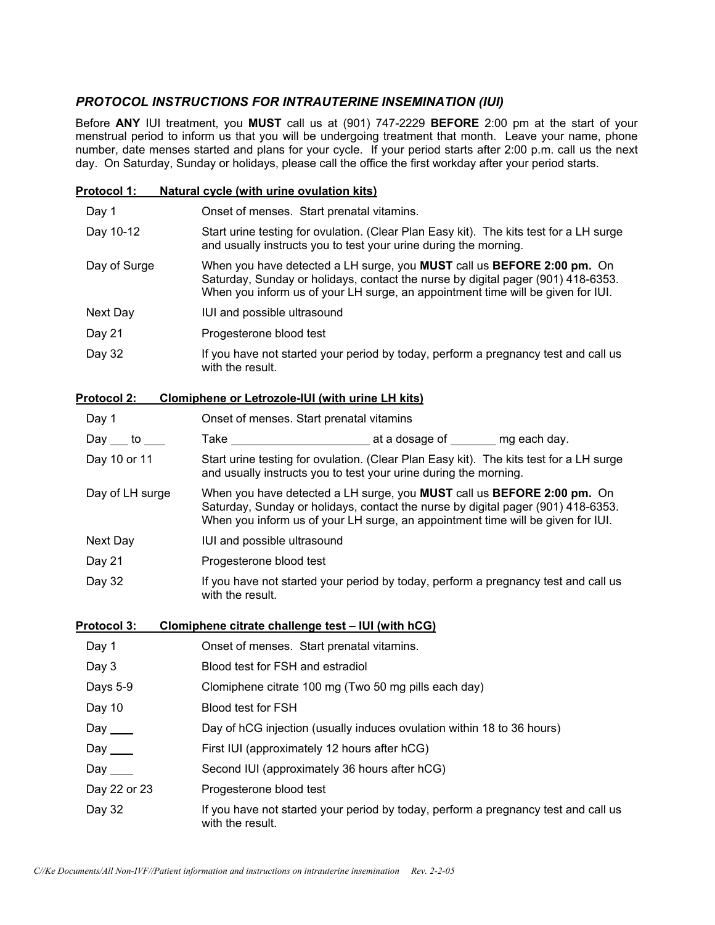## *PROTOCOL INSTRUCTIONS FOR INTRAUTERINE INSEMINATION (IUI)*

Before **ANY** IUI treatment, you **MUST** call us at (901) 747-2229 **BEFORE** 2:00 pm at the start of your menstrual period to inform us that you will be undergoing treatment that month. Leave your name, phone number, date menses started and plans for your cycle. If your period starts after 2:00 p.m. call us the next day. On Saturday, Sunday or holidays, please call the office the first workday after your period starts.

| <b>Protocol 1:</b>       | <b>Natural cycle (with urine ovulation kits)</b>                                                                                                                                                                                                     |  |  |
|--------------------------|------------------------------------------------------------------------------------------------------------------------------------------------------------------------------------------------------------------------------------------------------|--|--|
| Day 1                    | Onset of menses. Start prenatal vitamins.                                                                                                                                                                                                            |  |  |
| Day 10-12                | Start urine testing for ovulation. (Clear Plan Easy kit). The kits test for a LH surge<br>and usually instructs you to test your urine during the morning.                                                                                           |  |  |
| Day of Surge             | When you have detected a LH surge, you MUST call us BEFORE 2:00 pm. On<br>Saturday, Sunday or holidays, contact the nurse by digital pager (901) 418-6353.<br>When you inform us of your LH surge, an appointment time will be given for IUI.        |  |  |
| Next Day                 | IUI and possible ultrasound                                                                                                                                                                                                                          |  |  |
| Day 21                   | Progesterone blood test                                                                                                                                                                                                                              |  |  |
| Day 32                   | If you have not started your period by today, perform a pregnancy test and call us<br>with the result.                                                                                                                                               |  |  |
| Protocol 2:              | <b>Clomiphene or Letrozole-IUI (with urine LH kits)</b>                                                                                                                                                                                              |  |  |
| Day 1                    | Onset of menses. Start prenatal vitamins                                                                                                                                                                                                             |  |  |
| Day $\_\_$ to $\_\_$     |                                                                                                                                                                                                                                                      |  |  |
| Day 10 or 11             | Start urine testing for ovulation. (Clear Plan Easy kit). The kits test for a LH surge<br>and usually instructs you to test your urine during the morning.                                                                                           |  |  |
| Day of LH surge          | When you have detected a LH surge, you MUST call us <b>BEFORE 2:00 pm.</b> On<br>Saturday, Sunday or holidays, contact the nurse by digital pager (901) 418-6353.<br>When you inform us of your LH surge, an appointment time will be given for IUI. |  |  |
| Next Day                 | IUI and possible ultrasound                                                                                                                                                                                                                          |  |  |
| Day 21                   | Progesterone blood test                                                                                                                                                                                                                              |  |  |
| Day 32                   | If you have not started your period by today, perform a pregnancy test and call us<br>with the result.                                                                                                                                               |  |  |
| <b>Protocol 3:</b>       | Clomiphene citrate challenge test - IUI (with hCG)                                                                                                                                                                                                   |  |  |
| Day 1                    | Onset of menses. Start prenatal vitamins.                                                                                                                                                                                                            |  |  |
| Day 3                    | Blood test for FSH and estradiol                                                                                                                                                                                                                     |  |  |
| Days 5-9                 | Clomiphene citrate 100 mg (Two 50 mg pills each day)                                                                                                                                                                                                 |  |  |
| Day 10                   | Blood test for FSH                                                                                                                                                                                                                                   |  |  |
| Day $\rule{1em}{0.15mm}$ | Day of hCG injection (usually induces ovulation within 18 to 36 hours)                                                                                                                                                                               |  |  |
| Day $\rule{1em}{0.15mm}$ | First IUI (approximately 12 hours after hCG)                                                                                                                                                                                                         |  |  |
| Day $\_\_\_\_\_\_\$      | Second IUI (approximately 36 hours after hCG)                                                                                                                                                                                                        |  |  |
| Day 22 or 23             | Progesterone blood test                                                                                                                                                                                                                              |  |  |
| Day 32                   | If you have not started your period by today, perform a pregnancy test and call us<br>with the result.                                                                                                                                               |  |  |